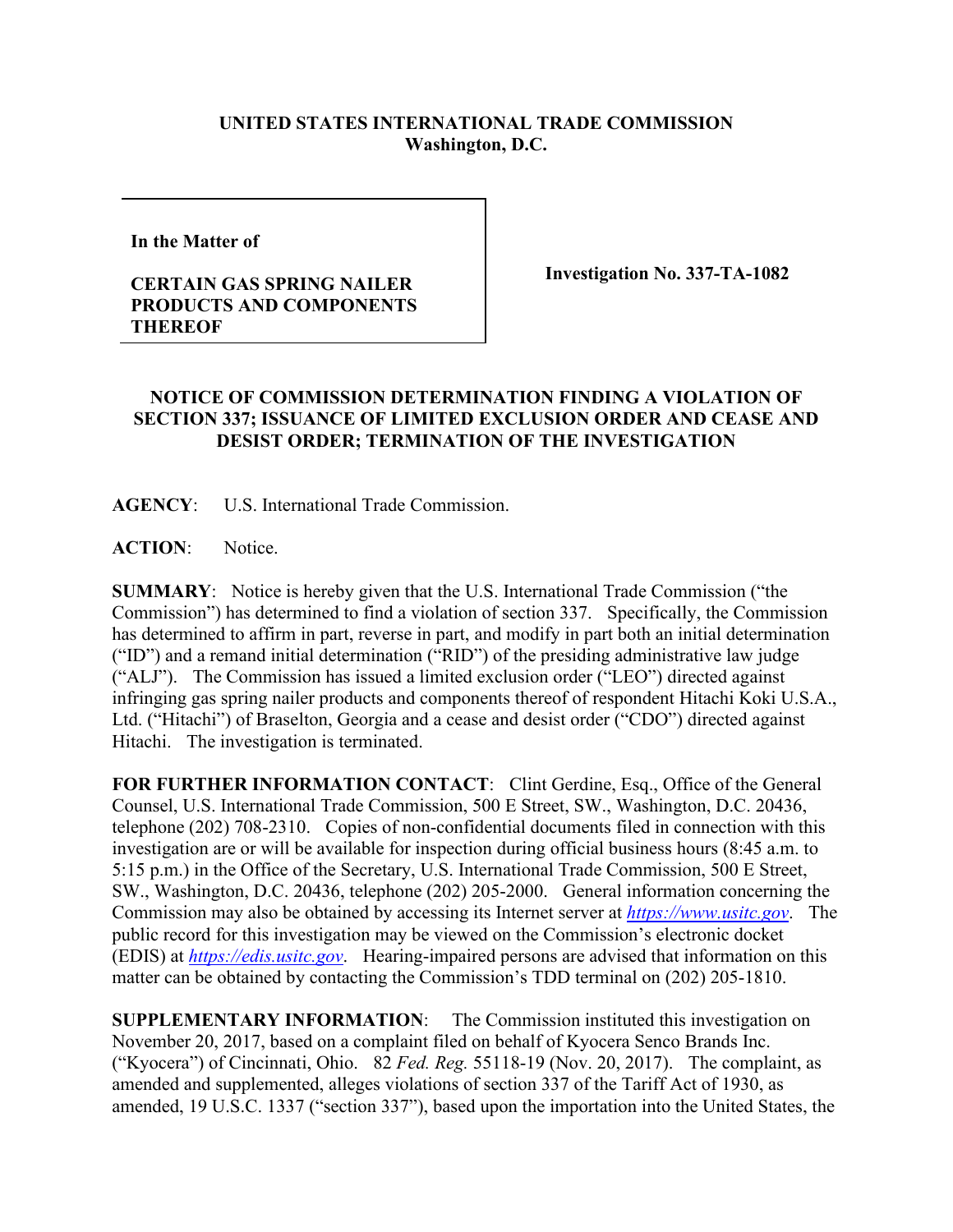## **UNITED STATES INTERNATIONAL TRADE COMMISSION Washington, D.C.**

**In the Matter of** 

## **CERTAIN GAS SPRING NAILER PRODUCTS AND COMPONENTS THEREOF**

**Investigation No. 337-TA-1082**

## **NOTICE OF COMMISSION DETERMINATION FINDING A VIOLATION OF SECTION 337; ISSUANCE OF LIMITED EXCLUSION ORDER AND CEASE AND DESIST ORDER; TERMINATION OF THE INVESTIGATION**

**AGENCY**: U.S. International Trade Commission.

**ACTION**: Notice.

**SUMMARY**: Notice is hereby given that the U.S. International Trade Commission ("the Commission") has determined to find a violation of section 337. Specifically, the Commission has determined to affirm in part, reverse in part, and modify in part both an initial determination ("ID") and a remand initial determination ("RID") of the presiding administrative law judge ("ALJ"). The Commission has issued a limited exclusion order ("LEO") directed against infringing gas spring nailer products and components thereof of respondent Hitachi Koki U.S.A., Ltd. ("Hitachi") of Braselton, Georgia and a cease and desist order ("CDO") directed against Hitachi. The investigation is terminated.

FOR FURTHER INFORMATION CONTACT: Clint Gerdine, Esq., Office of the General Counsel, U.S. International Trade Commission, 500 E Street, SW., Washington, D.C. 20436, telephone (202) 708-2310. Copies of non-confidential documents filed in connection with this investigation are or will be available for inspection during official business hours (8:45 a.m. to 5:15 p.m.) in the Office of the Secretary, U.S. International Trade Commission, 500 E Street, SW., Washington, D.C. 20436, telephone (202) 205-2000. General information concerning the Commission may also be obtained by accessing its Internet server at *[https://www.usitc.gov](https://www.usitc.gov/)*. The public record for this investigation may be viewed on the Commission's electronic docket (EDIS) at *[https://edis.usitc.gov](https://edis.usitc.gov/)*. Hearing-impaired persons are advised that information on this matter can be obtained by contacting the Commission's TDD terminal on (202) 205-1810.

**SUPPLEMENTARY INFORMATION**: The Commission instituted this investigation on November 20, 2017, based on a complaint filed on behalf of Kyocera Senco Brands Inc. ("Kyocera") of Cincinnati, Ohio. 82 *Fed. Reg.* 55118-19 (Nov. 20, 2017). The complaint, as amended and supplemented, alleges violations of section 337 of the Tariff Act of 1930, as amended, 19 U.S.C. 1337 ("section 337"), based upon the importation into the United States, the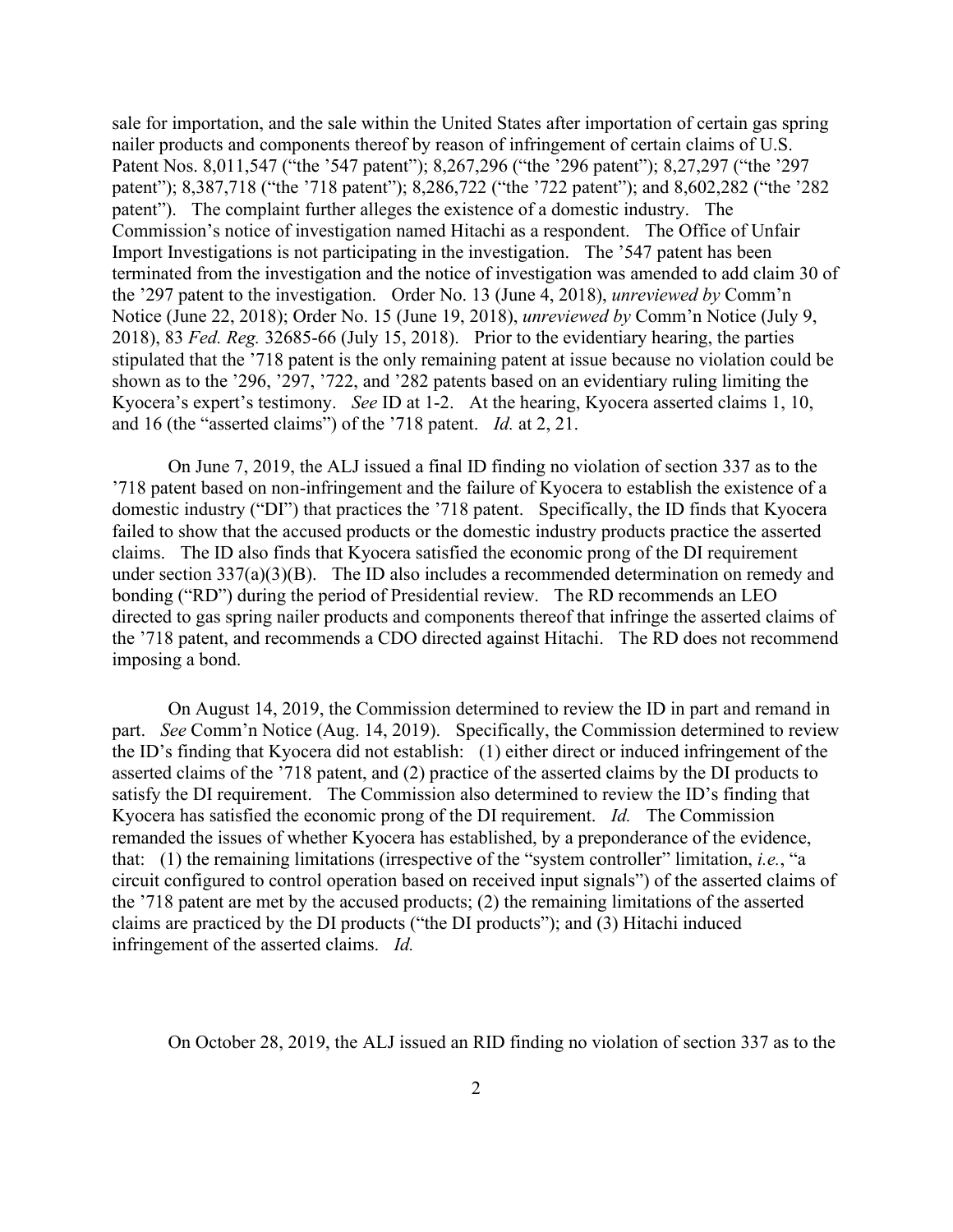sale for importation, and the sale within the United States after importation of certain gas spring nailer products and components thereof by reason of infringement of certain claims of U.S. Patent Nos. 8,011,547 ("the '547 patent"); 8,267,296 ("the '296 patent"); 8,27,297 ("the '297 patent"); 8,387,718 ("the '718 patent"); 8,286,722 ("the '722 patent"); and 8,602,282 ("the '282 patent"). The complaint further alleges the existence of a domestic industry. The Commission's notice of investigation named Hitachi as a respondent. The Office of Unfair Import Investigations is not participating in the investigation. The '547 patent has been terminated from the investigation and the notice of investigation was amended to add claim 30 of the '297 patent to the investigation. Order No. 13 (June 4, 2018), *unreviewed by* Comm'n Notice (June 22, 2018); Order No. 15 (June 19, 2018), *unreviewed by* Comm'n Notice (July 9, 2018), 83 *Fed. Reg.* 32685-66 (July 15, 2018). Prior to the evidentiary hearing, the parties stipulated that the '718 patent is the only remaining patent at issue because no violation could be shown as to the '296, '297, '722, and '282 patents based on an evidentiary ruling limiting the Kyocera's expert's testimony. *See* ID at 1-2. At the hearing, Kyocera asserted claims 1, 10, and 16 (the "asserted claims") of the '718 patent. *Id.* at 2, 21.

On June 7, 2019, the ALJ issued a final ID finding no violation of section 337 as to the '718 patent based on non-infringement and the failure of Kyocera to establish the existence of a domestic industry ("DI") that practices the '718 patent. Specifically, the ID finds that Kyocera failed to show that the accused products or the domestic industry products practice the asserted claims. The ID also finds that Kyocera satisfied the economic prong of the DI requirement under section 337(a)(3)(B). The ID also includes a recommended determination on remedy and bonding ("RD") during the period of Presidential review. The RD recommends an LEO directed to gas spring nailer products and components thereof that infringe the asserted claims of the '718 patent, and recommends a CDO directed against Hitachi. The RD does not recommend imposing a bond.

On August 14, 2019, the Commission determined to review the ID in part and remand in part. *See* Comm'n Notice (Aug. 14, 2019). Specifically, the Commission determined to review the ID's finding that Kyocera did not establish: (1) either direct or induced infringement of the asserted claims of the '718 patent, and (2) practice of the asserted claims by the DI products to satisfy the DI requirement. The Commission also determined to review the ID's finding that Kyocera has satisfied the economic prong of the DI requirement. *Id.* The Commission remanded the issues of whether Kyocera has established, by a preponderance of the evidence, that: (1) the remaining limitations (irrespective of the "system controller" limitation, *i.e.*, "a circuit configured to control operation based on received input signals") of the asserted claims of the '718 patent are met by the accused products; (2) the remaining limitations of the asserted claims are practiced by the DI products ("the DI products"); and (3) Hitachi induced infringement of the asserted claims. *Id.*

On October 28, 2019, the ALJ issued an RID finding no violation of section 337 as to the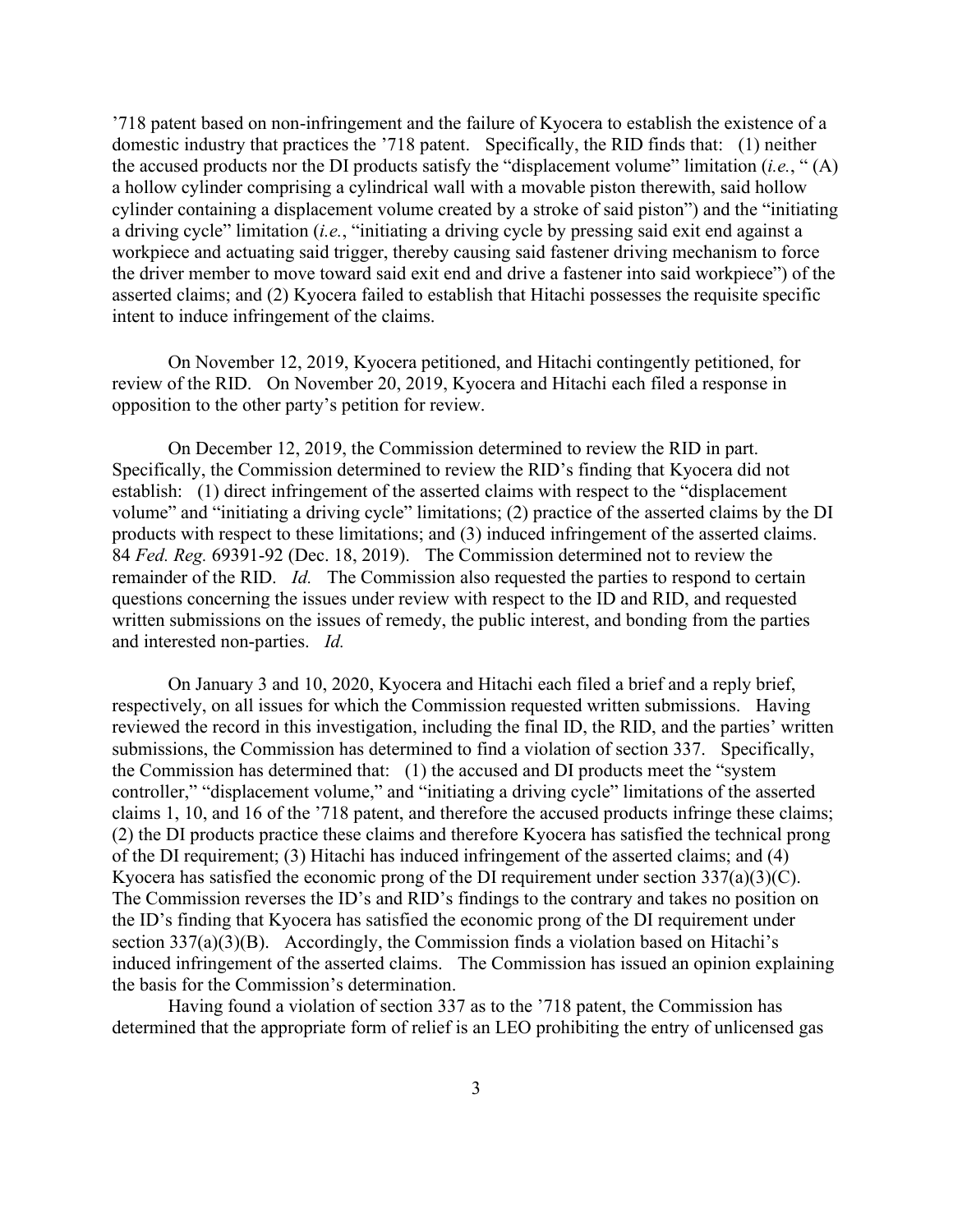'718 patent based on non-infringement and the failure of Kyocera to establish the existence of a domestic industry that practices the '718 patent. Specifically, the RID finds that: (1) neither the accused products nor the DI products satisfy the "displacement volume" limitation (*i.e.*, " (A) a hollow cylinder comprising a cylindrical wall with a movable piston therewith, said hollow cylinder containing a displacement volume created by a stroke of said piston") and the "initiating a driving cycle" limitation (*i.e.*, "initiating a driving cycle by pressing said exit end against a workpiece and actuating said trigger, thereby causing said fastener driving mechanism to force the driver member to move toward said exit end and drive a fastener into said workpiece") of the asserted claims; and (2) Kyocera failed to establish that Hitachi possesses the requisite specific intent to induce infringement of the claims.

On November 12, 2019, Kyocera petitioned, and Hitachi contingently petitioned, for review of the RID. On November 20, 2019, Kyocera and Hitachi each filed a response in opposition to the other party's petition for review.

On December 12, 2019, the Commission determined to review the RID in part. Specifically, the Commission determined to review the RID's finding that Kyocera did not establish: (1) direct infringement of the asserted claims with respect to the "displacement volume" and "initiating a driving cycle" limitations; (2) practice of the asserted claims by the DI products with respect to these limitations; and (3) induced infringement of the asserted claims. 84 *Fed. Reg.* 69391-92 (Dec. 18, 2019). The Commission determined not to review the remainder of the RID. *Id.* The Commission also requested the parties to respond to certain questions concerning the issues under review with respect to the ID and RID, and requested written submissions on the issues of remedy, the public interest, and bonding from the parties and interested non-parties. *Id.*

On January 3 and 10, 2020, Kyocera and Hitachi each filed a brief and a reply brief, respectively, on all issues for which the Commission requested written submissions. Having reviewed the record in this investigation, including the final ID, the RID, and the parties' written submissions, the Commission has determined to find a violation of section 337. Specifically, the Commission has determined that: (1) the accused and DI products meet the "system controller," "displacement volume," and "initiating a driving cycle" limitations of the asserted claims 1, 10, and 16 of the '718 patent, and therefore the accused products infringe these claims; (2) the DI products practice these claims and therefore Kyocera has satisfied the technical prong of the DI requirement; (3) Hitachi has induced infringement of the asserted claims; and (4) Kyocera has satisfied the economic prong of the DI requirement under section  $337(a)(3)(C)$ . The Commission reverses the ID's and RID's findings to the contrary and takes no position on the ID's finding that Kyocera has satisfied the economic prong of the DI requirement under section  $337(a)(3)(B)$ . Accordingly, the Commission finds a violation based on Hitachi's induced infringement of the asserted claims. The Commission has issued an opinion explaining the basis for the Commission's determination.

 Having found a violation of section 337 as to the '718 patent, the Commission has determined that the appropriate form of relief is an LEO prohibiting the entry of unlicensed gas